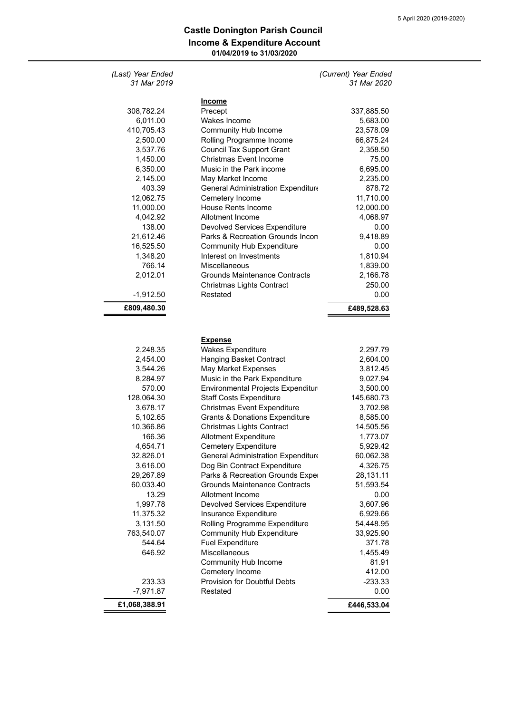## **Income & Expenditure Account 01/04/2019 to 31/03/2020 Castle Donington Parish Council**

| (Last) Year Ended<br>31 Mar 2019 |                                                 | (Current) Year Ended<br>31 Mar 2020 |
|----------------------------------|-------------------------------------------------|-------------------------------------|
|                                  |                                                 |                                     |
| 308,782.24                       | <b>Income</b><br>Precept                        | 337,885.50                          |
| 6,011.00                         | Wakes Income                                    | 5,683.00                            |
| 410,705.43                       | <b>Community Hub Income</b>                     | 23,578.09                           |
| 2,500.00                         | Rolling Programme Income                        | 66,875.24                           |
| 3,537.76                         | <b>Council Tax Support Grant</b>                | 2,358.50                            |
| 1,450.00                         | Christmas Event Income                          | 75.00                               |
| 6,350.00                         | Music in the Park income                        | 6,695.00                            |
| 2,145.00                         | May Market Income                               | 2,235.00                            |
| 403.39                           | General Administration Expenditure              | 878.72                              |
| 12,062.75                        | Cemetery Income                                 | 11,710.00                           |
| 11,000.00                        | <b>House Rents Income</b>                       | 12,000.00                           |
| 4,042.92                         | Allotment Income                                | 4,068.97                            |
| 138.00                           | <b>Devolved Services Expenditure</b>            | 0.00                                |
| 21,612.46                        | Parks & Recreation Grounds Incon                | 9,418.89                            |
| 16,525.50                        | <b>Community Hub Expenditure</b>                | 0.00                                |
| 1,348.20                         | Interest on Investments                         | 1,810.94                            |
| 766.14                           | Miscellaneous                                   | 1,839.00                            |
| 2,012.01                         | Grounds Maintenance Contracts                   | 2,166.78                            |
|                                  | <b>Christmas Lights Contract</b>                | 250.00                              |
| $-1,912.50$                      | Restated                                        | 0.00                                |
| £809,480.30                      |                                                 | £489,528.63                         |
|                                  |                                                 |                                     |
|                                  | <b>Expense</b>                                  |                                     |
| 2,248.35                         | <b>Wakes Expenditure</b>                        | 2,297.79                            |
| 2,454.00                         | Hanging Basket Contract                         | 2,604.00                            |
| 3,544.26                         | May Market Expenses                             | 3,812.45                            |
| 8,284.97                         | Music in the Park Expenditure                   | 9,027.94                            |
| 570.00                           | Environmental Projects Expenditure              | 3,500.00                            |
| 128,064.30                       | <b>Staff Costs Expenditure</b>                  | 145,680.73                          |
| 3,678.17                         | Christmas Event Expenditure                     | 3,702.98                            |
| 5,102.65                         | <b>Grants &amp; Donations Expenditure</b>       | 8,585.00                            |
| 10,366.86                        | <b>Christmas Lights Contract</b>                | 14,505.56                           |
| 166.36                           | <b>Allotment Expenditure</b>                    | 1,773.07                            |
| 4,654.71                         | <b>Cemetery Expenditure</b>                     | 5,929.42                            |
| 32,826.01                        | <b>General Administration Expenditure</b>       | 60,062.38                           |
| 3,616.00                         | Dog Bin Contract Expenditure                    | 4,326.75                            |
| 29,267.89                        | Parks & Recreation Grounds Exper                | 28,131.11                           |
| 60,033.40                        | <b>Grounds Maintenance Contracts</b>            | 51,593.54                           |
| 13.29                            | Allotment Income                                | 0.00                                |
| 1,997.78                         | <b>Devolved Services Expenditure</b>            | 3,607.96                            |
| 11,375.32                        | Insurance Expenditure                           | 6,929.66                            |
| 3,131.50                         | Rolling Programme Expenditure                   | 54,448.95                           |
| 763,540.07                       | <b>Community Hub Expenditure</b>                | 33,925.90                           |
| 544.64                           | <b>Fuel Expenditure</b>                         | 371.78                              |
| 646.92                           | Miscellaneous                                   | 1,455.49                            |
|                                  | Community Hub Income                            | 81.91<br>412.00                     |
| 233.33                           | Cemetery Income<br>Provision for Doubtful Debts | $-233.33$                           |
| $-7,971.87$                      | Restated                                        | 0.00                                |
| £1,068,388.91                    |                                                 | £446,533.04                         |
|                                  |                                                 |                                     |